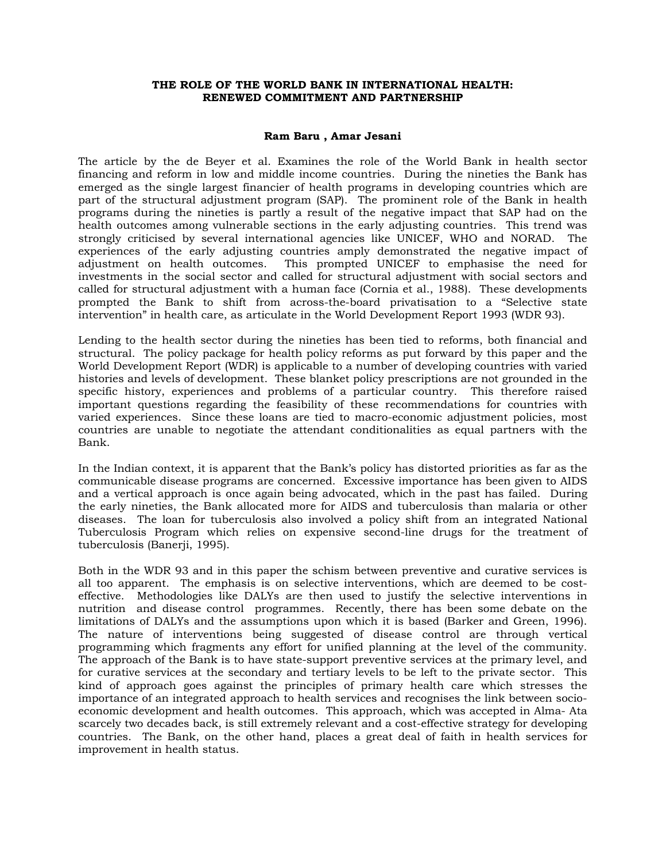## **THE ROLE OF THE WORLD BANK IN INTERNATIONAL HEALTH: RENEWED COMMITMENT AND PARTNERSHIP**

## **Ram Baru , Amar Jesani**

The article by the de Beyer et al. Examines the role of the World Bank in health sector financing and reform in low and middle income countries. During the nineties the Bank has emerged as the single largest financier of health programs in developing countries which are part of the structural adjustment program (SAP). The prominent role of the Bank in health programs during the nineties is partly a result of the negative impact that SAP had on the health outcomes among vulnerable sections in the early adjusting countries. This trend was strongly criticised by several international agencies like UNICEF, WHO and NORAD. The experiences of the early adjusting countries amply demonstrated the negative impact of adjustment on health outcomes. This prompted UNICEF to emphasise the need for investments in the social sector and called for structural adjustment with social sectors and called for structural adjustment with a human face (Cornia et al., 1988). These developments prompted the Bank to shift from across-the-board privatisation to a "Selective state intervention" in health care, as articulate in the World Development Report 1993 (WDR 93).

Lending to the health sector during the nineties has been tied to reforms, both financial and structural. The policy package for health policy reforms as put forward by this paper and the World Development Report (WDR) is applicable to a number of developing countries with varied histories and levels of development. These blanket policy prescriptions are not grounded in the specific history, experiences and problems of a particular country. This therefore raised important questions regarding the feasibility of these recommendations for countries with varied experiences. Since these loans are tied to macro-economic adjustment policies, most countries are unable to negotiate the attendant conditionalities as equal partners with the Bank.

In the Indian context, it is apparent that the Bank's policy has distorted priorities as far as the communicable disease programs are concerned. Excessive importance has been given to AIDS and a vertical approach is once again being advocated, which in the past has failed. During the early nineties, the Bank allocated more for AIDS and tuberculosis than malaria or other diseases. The loan for tuberculosis also involved a policy shift from an integrated National Tuberculosis Program which relies on expensive second-line drugs for the treatment of tuberculosis (Banerji, 1995).

Both in the WDR 93 and in this paper the schism between preventive and curative services is all too apparent. The emphasis is on selective interventions, which are deemed to be costeffective. Methodologies like DALYs are then used to justify the selective interventions in nutrition and disease control programmes. Recently, there has been some debate on the limitations of DALYs and the assumptions upon which it is based (Barker and Green, 1996). The nature of interventions being suggested of disease control are through vertical programming which fragments any effort for unified planning at the level of the community. The approach of the Bank is to have state-support preventive services at the primary level, and for curative services at the secondary and tertiary levels to be left to the private sector. This kind of approach goes against the principles of primary health care which stresses the importance of an integrated approach to health services and recognises the link between socioeconomic development and health outcomes. This approach, which was accepted in Alma- Ata scarcely two decades back, is still extremely relevant and a cost-effective strategy for developing countries. The Bank, on the other hand, places a great deal of faith in health services for improvement in health status.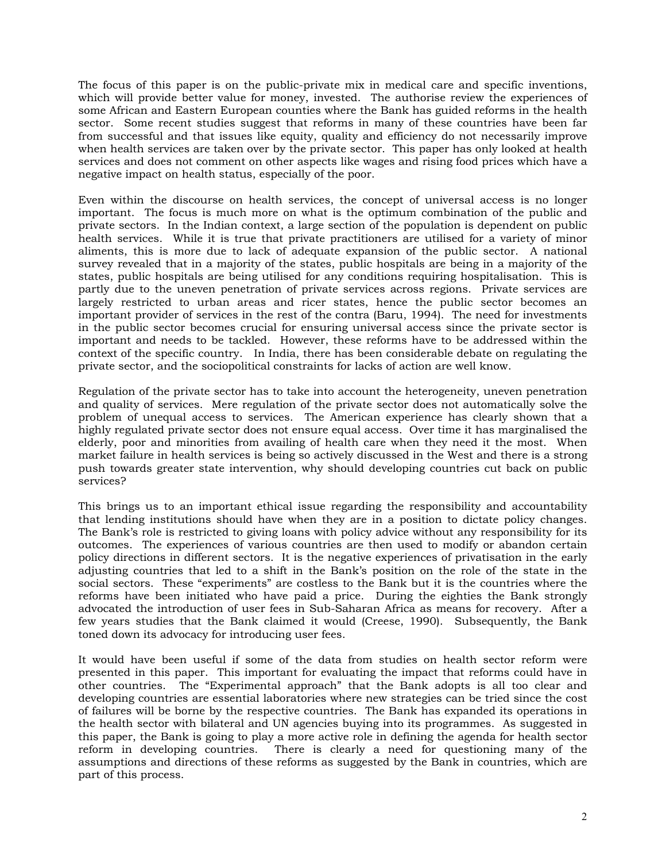The focus of this paper is on the public-private mix in medical care and specific inventions, which will provide better value for money, invested. The authorise review the experiences of some African and Eastern European counties where the Bank has guided reforms in the health sector. Some recent studies suggest that reforms in many of these countries have been far from successful and that issues like equity, quality and efficiency do not necessarily improve when health services are taken over by the private sector. This paper has only looked at health services and does not comment on other aspects like wages and rising food prices which have a negative impact on health status, especially of the poor.

Even within the discourse on health services, the concept of universal access is no longer important. The focus is much more on what is the optimum combination of the public and private sectors. In the Indian context, a large section of the population is dependent on public health services. While it is true that private practitioners are utilised for a variety of minor aliments, this is more due to lack of adequate expansion of the public sector. A national survey revealed that in a majority of the states, public hospitals are being in a majority of the states, public hospitals are being utilised for any conditions requiring hospitalisation. This is partly due to the uneven penetration of private services across regions. Private services are largely restricted to urban areas and ricer states, hence the public sector becomes an important provider of services in the rest of the contra (Baru, 1994). The need for investments in the public sector becomes crucial for ensuring universal access since the private sector is important and needs to be tackled. However, these reforms have to be addressed within the context of the specific country. In India, there has been considerable debate on regulating the private sector, and the sociopolitical constraints for lacks of action are well know.

Regulation of the private sector has to take into account the heterogeneity, uneven penetration and quality of services. Mere regulation of the private sector does not automatically solve the problem of unequal access to services. The American experience has clearly shown that a highly regulated private sector does not ensure equal access. Over time it has marginalised the elderly, poor and minorities from availing of health care when they need it the most. When market failure in health services is being so actively discussed in the West and there is a strong push towards greater state intervention, why should developing countries cut back on public services?

This brings us to an important ethical issue regarding the responsibility and accountability that lending institutions should have when they are in a position to dictate policy changes. The Bank's role is restricted to giving loans with policy advice without any responsibility for its outcomes. The experiences of various countries are then used to modify or abandon certain policy directions in different sectors. It is the negative experiences of privatisation in the early adjusting countries that led to a shift in the Bank's position on the role of the state in the social sectors. These "experiments" are costless to the Bank but it is the countries where the reforms have been initiated who have paid a price. During the eighties the Bank strongly advocated the introduction of user fees in Sub-Saharan Africa as means for recovery. After a few years studies that the Bank claimed it would (Creese, 1990). Subsequently, the Bank toned down its advocacy for introducing user fees.

It would have been useful if some of the data from studies on health sector reform were presented in this paper. This important for evaluating the impact that reforms could have in other countries. The "Experimental approach" that the Bank adopts is all too clear and developing countries are essential laboratories where new strategies can be tried since the cost of failures will be borne by the respective countries. The Bank has expanded its operations in the health sector with bilateral and UN agencies buying into its programmes. As suggested in this paper, the Bank is going to play a more active role in defining the agenda for health sector reform in developing countries. There is clearly a need for questioning many of the assumptions and directions of these reforms as suggested by the Bank in countries, which are part of this process.